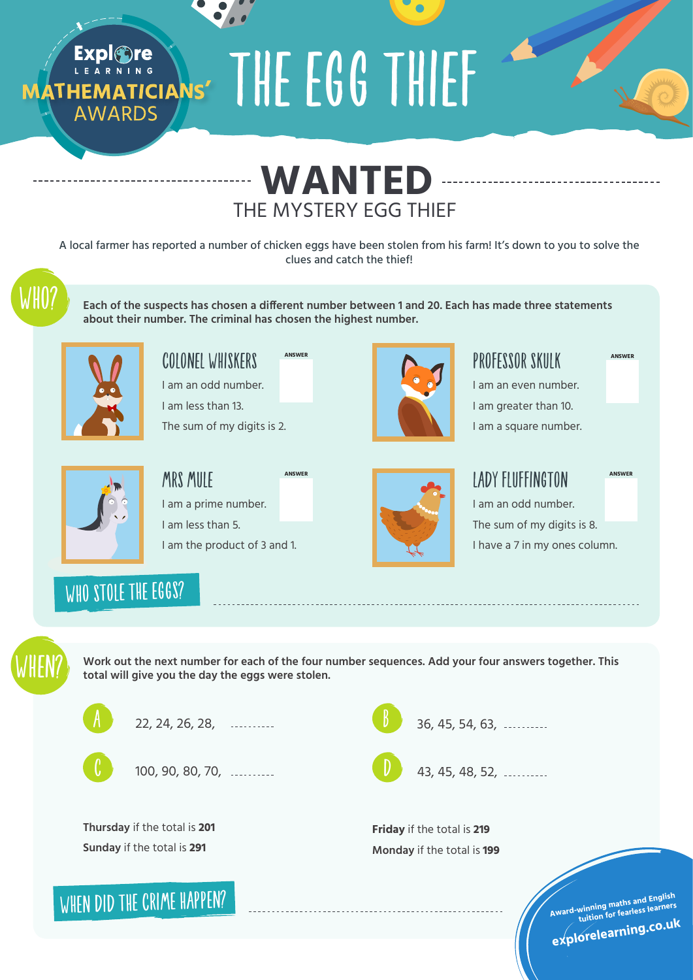MATHEMATICIANS' THE EGG THIEF



A local farmer has reported a number of chicken eggs have been stolen from his farm! It's down to you to solve the clues and catch the thief!

Each of the suspects has chosen a different number between 1 and 20. Each has made three statements **about their number. The criminal has chosen the highest number.**



**AWARDS** 

COLONEL WHISKERS I am an odd number. I am less than 13. **ANSWER**

The sum of my digits is 2.



MRS MIIIF I am a prime number. I am less than 5. I am the product of 3 and 1. **ANSWER**



### PROFESSOR SKULK

I am an even number. I am greater than 10. I am a square number.

#### LADY FLUFFINGTON

**ANSWER**

**ANSWER**

I am an odd number. The sum of my digits is 8. I have a 7 in my ones column.

WHO STOLE THE EGGS?



Work out the next number for each of the four number sequences. Add your four answers together. This **total will give you the day the eggs were stolen.**



22, 24, 26, 28,



100, 90, 80, 70,

**Thursday** if the total is **201 Sunday** if the total is **291**

WHEN DID THE CRIME HAPPEN?

36, 45, 54, 63, B

43, 45, 48, 52, D

**Friday** if the total is **219 Monday** if the total is **199**

**Award-winning maths and English tuition for fearless learners**

## **explorelearning.co.u<sup>k</sup>**